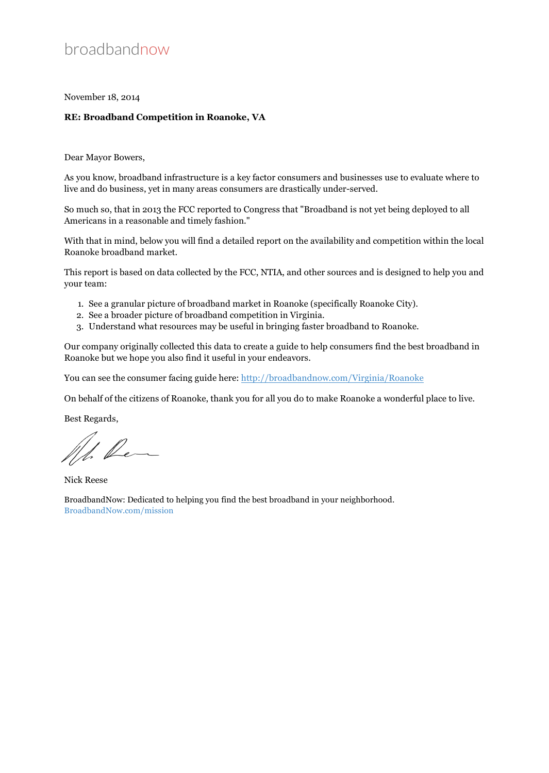## broadbandnow

November 18, 2014

#### **RE: Broadband Competition in Roanoke, VA**

Dear Mayor Bowers,

As you know, broadband infrastructure is a key factor consumers and businesses use to evaluate where to live and do business, yet in many areas consumers are drastically under-served.

So much so, that in 2013 the FCC reported to Congress that "Broadband is not yet being deployed to all Americans in a reasonable and timely fashion."

With that in mind, below you will find a detailed report on the availability and competition within the local Roanoke broadband market.

This report is based on data collected by the FCC, NTIA, and other sources and is designed to help you and your team:

- 1. See a granular picture of broadband market in Roanoke (specifically Roanoke City).
- 2. See a broader picture of broadband competition in Virginia.
- 3. Understand what resources may be useful in bringing faster broadband to Roanoke.

Our company originally collected this data to create a guide to help consumers find the best broadband in Roanoke but we hope you also find it useful in your endeavors.

You can see the consumer facing guide here:<http://broadbandnow.com/Virginia/Roanoke>

On behalf of the citizens of Roanoke, thank you for all you do to make Roanoke a wonderful place to live.

Best Regards,

1. Rem

Nick Reese

BroadbandNow: Dedicated to helping you find the best broadband in your neighborhood. BroadbandNow.com/mission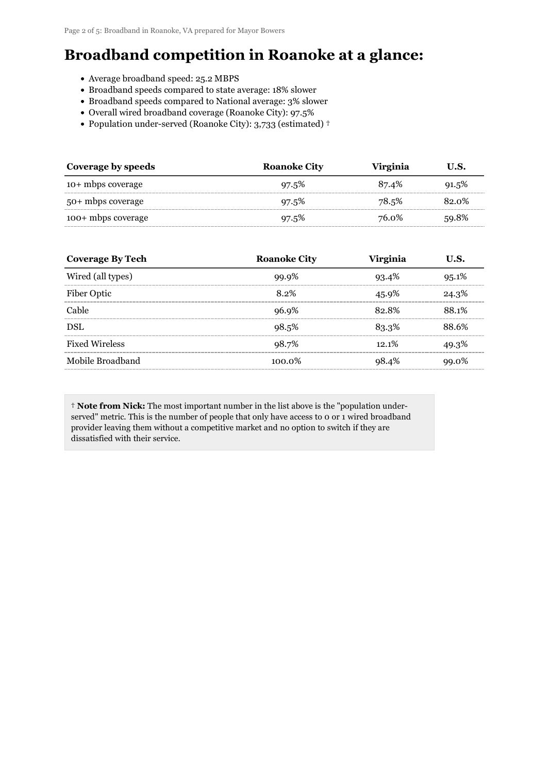# **Broadband competition in Roanoke at a glance:**

- Average broadband speed: 25.2 MBPS
- Broadband speeds compared to state average: 18% slower
- Broadband speeds compared to National average: 3% slower
- Overall wired broadband coverage (Roanoke City): 97.5%
- Population under-served (Roanoke City): 3,733 (estimated) †

| Coverage by speeds | <b>Roanoke City</b> | <b>Virginia</b> | U.S.  |
|--------------------|---------------------|-----------------|-------|
| 10+ mbps coverage  | 97.5%               | 87.4%           | 91.5% |
| 50+ mbps coverage  | 97.5%               | 78.5%           | 82.0% |
| 100+ mbps coverage | 97.5%               | 76.0%           | 59.8% |

| <b>Coverage By Tech</b> | <b>Roanoke City</b> | <b>Virginia</b> | U.S.  |
|-------------------------|---------------------|-----------------|-------|
| Wired (all types)       | 99.9%               | 93.4%           | 95.1% |
| Fiber Optic             | 8.2%                | 45.9%           | 24.3% |
| Cable                   | 96.9%               | 82.8%           | 88.1% |
| <b>DSL</b>              | 98.5%               | 83.3%           | 88.6% |
| <b>Fixed Wireless</b>   | 98.7%               | 12.1%           | 49.3% |
| Mobile Broadband        | $100.0\%$           | 98.4%           | 99.0% |

† **Note from Nick:** The most important number in the list above is the "population underserved" metric. This is the number of people that only have access to 0 or 1 wired broadband provider leaving them without a competitive market and no option to switch if they are dissatisfied with their service.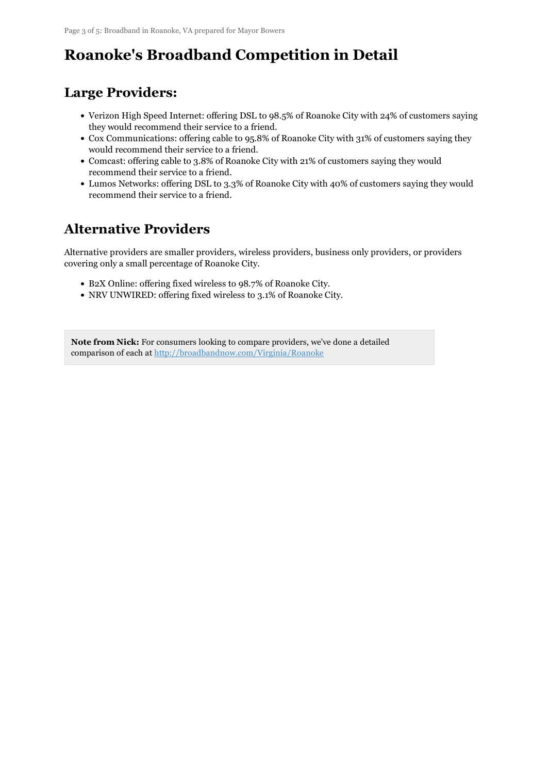# **Roanoke's Broadband Competition in Detail**

## **Large Providers:**

- Verizon High Speed Internet: offering DSL to 98.5% of Roanoke City with 24% of customers saying they would recommend their service to a friend.
- Cox Communications: offering cable to 95.8% of Roanoke City with 31% of customers saying they would recommend their service to a friend.
- Comcast: offering cable to 3.8% of Roanoke City with 21% of customers saying they would recommend their service to a friend.
- Lumos Networks: offering DSL to 3.3% of Roanoke City with 40% of customers saying they would recommend their service to a friend.

## **Alternative Providers**

Alternative providers are smaller providers, wireless providers, business only providers, or providers covering only a small percentage of Roanoke City.

- B2X Online: offering fixed wireless to 98.7% of Roanoke City.
- NRV UNWIRED: offering fixed wireless to 3.1% of Roanoke City.

**Note from Nick:** For consumers looking to compare providers, we've done a detailed comparison of each at <http://broadbandnow.com/Virginia/Roanoke>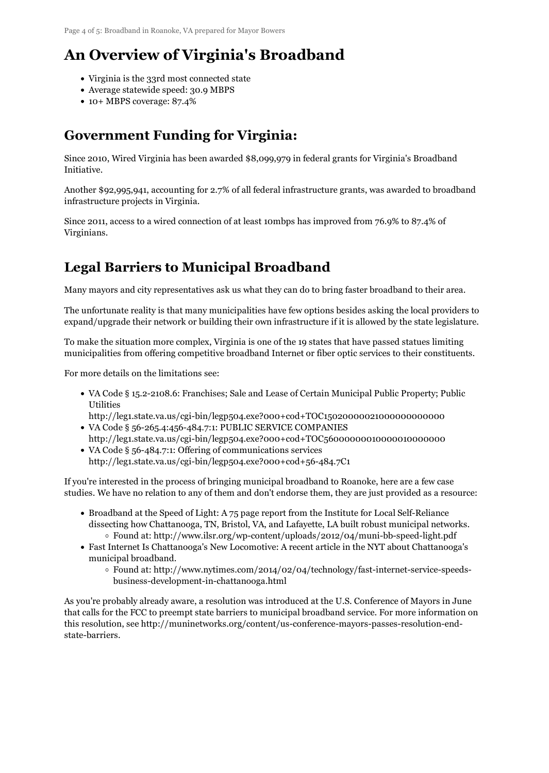# **An Overview of Virginia's Broadband**

- Virginia is the 33rd most connected state
- Average statewide speed: 30.9 MBPS
- 10+ MBPS coverage: 87.4%

#### **Government Funding for Virginia:**

Since 2010, Wired Virginia has been awarded \$8,099,979 in federal grants for Virginia's Broadband Initiative.

Another \$92,995,941, accounting for 2.7% of all federal infrastructure grants, was awarded to broadband infrastructure projects in Virginia.

Since 2011, access to a wired connection of at least 10mbps has improved from 76.9% to 87.4% of Virginians.

### **Legal Barriers to Municipal Broadband**

Many mayors and city representatives ask us what they can do to bring faster broadband to their area.

The unfortunate reality is that many municipalities have few options besides asking the local providers to expand/upgrade their network or building their own infrastructure if it is allowed by the state legislature.

To make the situation more complex, Virginia is one of the 19 states that have passed statues limiting municipalities from offering competitive broadband Internet or fiber optic services to their constituents.

For more details on the limitations see:

- VA Code § 15.2-2108.6: Franchises; Sale and Lease of Certain Municipal Public Property; Public **Utilities**
- http://leg1.state.va.us/cgi-bin/legp504.exe?000+cod+TOC15020000021000000000000 VA Code § 56-265.4:456-484.7:1: PUBLIC SERVICE COMPANIES
- http://leg1.state.va.us/cgi-bin/legp504.exe?000+cod+TOC56000000010000010000000 VA Code § 56-484.7:1: Offering of communications services
- http://leg1.state.va.us/cgi-bin/legp504.exe?000+cod+56-484.7C1

If you're interested in the process of bringing municipal broadband to Roanoke, here are a few case studies. We have no relation to any of them and don't endorse them, they are just provided as a resource:

- Broadband at the Speed of Light: A 75 page report from the Institute for Local Self-Reliance dissecting how Chattanooga, TN, Bristol, VA, and Lafayette, LA built robust municipal networks.  $\circ$  Found at: http://www.ilsr.org/wp-content/uploads/2012/04/muni-bb-speed-light.pdf
- Fast Internet Is Chattanooga's New Locomotive: A recent article in the NYT about Chattanooga's municipal broadband.
	- Found at: http://www.nytimes.com/2014/02/04/technology/fast-internet-service-speedsbusiness-development-in-chattanooga.html

As you're probably already aware, a resolution was introduced at the U.S. Conference of Mayors in June that calls for the FCC to preempt state barriers to municipal broadband service. For more information on this resolution, see http://muninetworks.org/content/us-conference-mayors-passes-resolution-endstate-barriers.